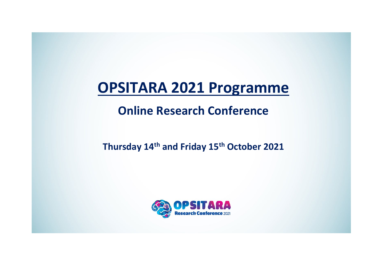# **OPSITARA 2021 Programme**

**Online Research Conference** 

**Thursday 14th and Friday 15th October 2021**

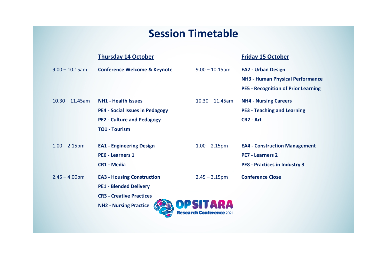## **Session Timetable**

|                    | <b>Thursday 14 October</b>              |                                                    | <b>Friday 15 October</b>                   |
|--------------------|-----------------------------------------|----------------------------------------------------|--------------------------------------------|
| $9.00 - 10.15$ am  | <b>Conference Welcome &amp; Keynote</b> | $9.00 - 10.15$ am                                  | <b>EA2 - Urban Design</b>                  |
|                    |                                         |                                                    | <b>NH3 - Human Physical Performance</b>    |
|                    |                                         |                                                    | <b>PE5 - Recognition of Prior Learning</b> |
| $10.30 - 11.45$ am | <b>NH1 - Health Issues</b>              | $10.30 - 11.45$ am                                 | <b>NH4 - Nursing Careers</b>               |
|                    | <b>PE4 - Social Issues in Pedagogy</b>  |                                                    | <b>PE3 - Teaching and Learning</b>         |
|                    | <b>PE2 - Culture and Pedagogy</b>       |                                                    | <b>CR2 - Art</b>                           |
|                    | <b>TO1 - Tourism</b>                    |                                                    |                                            |
|                    |                                         |                                                    |                                            |
| $1.00 - 2.15$ pm   | <b>EA1 - Engineering Design</b>         | $1.00 - 2.15$ pm                                   | <b>EA4 - Construction Management</b>       |
|                    | <b>PE6 - Learners 1</b>                 |                                                    | <b>PE7 - Learners 2</b>                    |
|                    | <b>CR1 - Media</b>                      |                                                    | <b>PE8 - Practices in Industry 3</b>       |
| $2.45 - 4.00$ pm   | <b>EA3 - Housing Construction</b>       | $2.45 - 3.15$ pm                                   | <b>Conference Close</b>                    |
|                    | <b>PE1 - Blended Delivery</b>           |                                                    |                                            |
|                    | <b>CR3 - Creative Practices</b>         |                                                    |                                            |
|                    | <b>NH2 - Nursing Practice</b>           | <b>DPSITARA</b><br><b>Research Conference 2021</b> |                                            |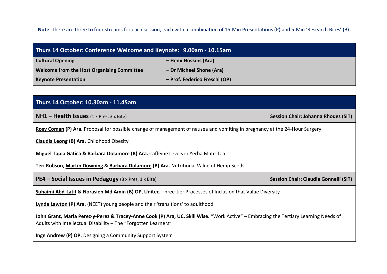**Note**: There are three to four streams for each session, each with a combination of 15-Min Presentations (P) and 5-Min 'Research Bites' (B)

| Thurs 14 October: Conference Welcome and Keynote: 9.00am - 10.15am |                               |  |
|--------------------------------------------------------------------|-------------------------------|--|
| <b>Cultural Opening</b>                                            | - Hemi Hoskins (Ara)          |  |
| <b>Welcome from the Host Organising Committee</b>                  | - Dr Michael Shone (Ara)      |  |
| <b>Keynote Presentation</b>                                        | - Prof. Federico Freschi (OP) |  |

| Thurs 14 October: 10.30am - 11.45am                                                                                                                                                                    |                                              |  |  |
|--------------------------------------------------------------------------------------------------------------------------------------------------------------------------------------------------------|----------------------------------------------|--|--|
| $NH1 - Health Issues (1 x Press, 3 x Bite)$                                                                                                                                                            | <b>Session Chair: Johanna Rhodes (SIT)</b>   |  |  |
| Roxy Coman (P) Ara. Proposal for possible change of management of nausea and vomiting in pregnancy at the 24-Hour Surgery                                                                              |                                              |  |  |
| <b>Claudia Leong (B) Ara.</b> Childhood Obesity                                                                                                                                                        |                                              |  |  |
| Miguel Tapia Gatica & Barbara Dolamore (B) Ara. Caffeine Levels in Yerba Mate Tea                                                                                                                      |                                              |  |  |
| Teri Robson, Martin Downing & Barbara Dolamore (B) Ara. Nutritional Value of Hemp Seeds                                                                                                                |                                              |  |  |
| <b>PE4 – Social Issues in Pedagogy</b> (3 x Pres, 1 x Bite)                                                                                                                                            | <b>Session Chair: Claudia Gonnelli (SIT)</b> |  |  |
| Suhaimi Abd-Latif & Norasieh Md Amin (B) OP, Unitec. Three-tier Processes of Inclusion that Value Diversity                                                                                            |                                              |  |  |
| <b>Lynda Lawton (P) Ara.</b> (NEET) young people and their 'transitions' to adulthood                                                                                                                  |                                              |  |  |
| John Grant, Maria Perez-y-Perez & Tracey-Anne Cook (P) Ara, UC, Skill Wise. "Work Active" – Embracing the Tertiary Learning Needs of<br>Adults with Intellectual Disability - The "Forgotten Learners" |                                              |  |  |

**Inge Andrew (P) OP.** Designing a Community Support System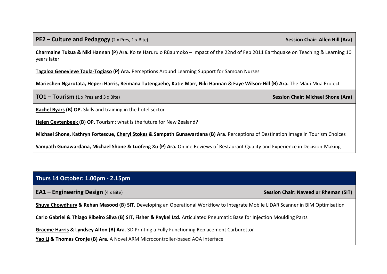**Charmaine Tukua & Niki Hannan (P) Ara.** Ko te Haruru o Rūaumoko – Impact of the 22nd of Feb 2011 Earthquake on Teaching & Learning 10 years later

**Tagaloa Genevieve Taula-Togiaso (P) Ara.** Perceptions Around Learning Support for Samoan Nurses

**Mariechen Ngarotata, Heperi Harris, Reimana Tutengaehe, Katie Marr, Niki Hannan & Faye Wilson-Hill (B) Ara.** The Māui Mua Project

**TO1 – Tourism** (1 x Pres and 3 x Bite) **Session Chair: Michael Shone (Ara)**

**Rachel Byars (B) OP.** Skills and training in the hotel sector

**Helen Geytenbeek (B) OP.** Tourism: what is the future for New Zealand?

**Michael Shone, Kathryn Fortescue, Cheryl Stokes & Sampath Gunawardana (B) Ara.** Perceptions of Destination Image in Tourism Choices

**Sampath Gunawardana, Michael Shone & Luofeng Xu (P) Ara.** Online Reviews of Restaurant Quality and Experience in Decision-Making

#### **Thurs 14 October: 1.00pm - 2.15pm**

**EA1 – Engineering Design** (4 x Bite) **Session Chair: Naveed ur Rheman (SIT)** 

**Shuva Chowdhury & Rehan Masood (B) SIT.** Developing an Operational Workflow to Integrate Mobile LIDAR Scanner in BIM Optimisation

**Carlo Gabriel & Thiago Ribeiro Silva (B) SIT, Fisher & Paykel Ltd.** Articulated Pneumatic Base for Injection Moulding Parts

**Graeme Harris & Lyndsey Alton (B) Ara.** 3D Printing a Fully Functioning Replacement Carburettor

**Yao Li & Thomas Cronje (B) Ara.** A Novel ARM Microcontroller-based AOA Interface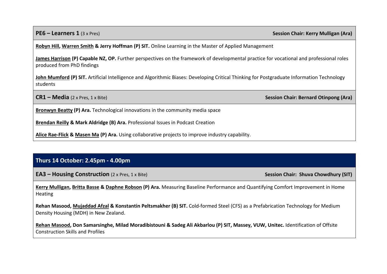**PE6 – Learners 1** (3 x Pres) **Session Chair: Kerry Mulligan (Ara)** 

**Robyn Hill, Warren Smith & Jerry Hoffman (P) SIT.** Online Learning in the Master of Applied Management

James Harrison (P) Capable NZ, OP. Further perspectives on the framework of developmental practice for vocational and professional roles produced from PhD findings

**John Mumford (P) SIT.** Artificial Intelligence and Algorithmic Biases: Developing Critical Thinking for Postgraduate Information Technology students

**CR1** – **Media** (2 x Pres, 1 x Bite) **Session Chair: Bernard Otinpong (Ara) Session Chair: Bernard Otinpong (Ara)** 

**Bronwyn Beatty (P) Ara.** Technological innovations in the community media space

**Brendan Reilly & Mark Aldridge (B) Ara.** Professional Issues in Podcast Creation

**Alice Rae-Flick & Masen Ma (P) Ara.** Using collaborative projects to improve industry capability.

#### **Thurs 14 October: 2.45pm - 4.00pm**

**EA3** – **Housing Construction** (2 x Pres, 1 x Bite) **Session Chair: Shuva Chowdhury (SIT) Session Chair: Shuva Chowdhury (SIT)** 

**Kerry Mulligan, Britta Basse & Daphne Robson (P) Ara.** Measuring Baseline Performance and Quantifying Comfort Improvement in Home Heating

**Rehan Masood, Mujaddad Afzal & Konstantin Peltsmakher (B) SIT.** Cold-formed Steel (CFS) as a Prefabrication Technology for Medium Density Housing (MDH) in New Zealand.

**Rehan Masood, Don Samarsinghe, Milad Moradibistouni & Sadeg Ali Akbarlou (P) SIT, Massey, VUW, Unitec.** Identification of Offsite Construction Skills and Profiles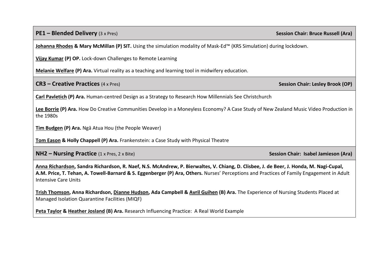**PE1** – **Blended Delivery** (3 x Pres) **Session Chair: Bruce Russell (Ara) Session Chair: Bruce Russell (Ara)** 

**Johanna Rhodes & Mary McMillan (P) SIT.** Using the simulation modality of Mask-Ed™ (KRS Simulation) during lockdown.

**Vijay Kumar (P) OP.** Lock-down Challenges to Remote Learning

**Melanie Welfare (P) Ara.** Virtual reality as a teaching and learning tool in midwifery education.

**CR3 – Creative Practices** (4 x Pres) **Session Chair: Lesley Brook (OP)**

**Carl Pavletich (P) Ara.** Human-centred Design as a Strategy to Research How Millennials See Christchurch

**Lee Borrie (P) Ara.** How Do Creative Communities Develop in a Moneyless Economy? A Case Study of New Zealand Music Video Production in the 1980s

**Tim Budgen (P) Ara.** Ngā Atua Hou (the People Weaver)

**Tom Eason & Holly Chappell (P) Ara.** Frankenstein: a Case Study with Physical Theatre

**NH2** – **Nursing Practice** (1 x Pres, 2 x Bite) **Session Chair: Isabel Jamieson (Ara) Session Chair: Isabel Jamieson (Ara)** 

**Anna Richardson, Sandra Richardson, R. Naef, N.S. McAndrew, P. Bierwaltes, V. Chiang, D. Clisbee, J. de Beer, J. Honda, M. Nagi-Cupal, A.M. Price, T. Tehan, A. Towell-Barnard & S. Eggenberger (P) Ara, Others.** Nurses' Perceptions and Practices of Family Engagement in Adult Intensive Care Units

**Trish Thomson, Anna Richardson, Dianne Hudson, Ada Campbell & Avril Guihen (B) Ara.** The Experience of Nursing Students Placed at Managed Isolation Quarantine Facilities (MIQF)

**Peta Taylor & Heather Josland (B) Ara.** Research Influencing Practice: A Real World Example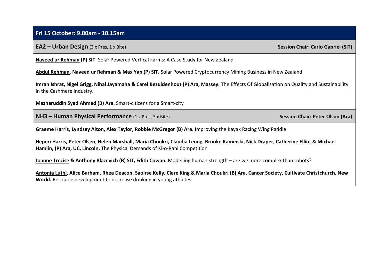#### **Fri 15 October: 9.00am - 10.15am**

#### **EA2 – Urban Design** (3 x Pres, 1 x Bite) **Session Chair: Carlo Gabriel (SIT) Session Chair: Carlo Gabriel (SIT)**

**Naveed ur Rehman (P) SIT.** Solar Powered Vertical Farms: A Case Study for New Zealand

**Abdul Rehman, Naveed ur Rehman & Max Yap (P) SIT.** Solar Powered Cryptocurrency Mining Business in New Zealand

**Imran Ishrat, Nigel Grigg, Nihal Jayamaha & Carel Bezuidenhout (P) Ara, Massey.** The Effects Of Globalisation on Quality and Sustainability in the Cashmere Industry.

**Mazharuddin Syed Ahmed (B) Ara.** Smart-citizens for a Smart-city

**NH3** – **Human Physical Performance** (1 x Pres, 3 x Bite) **Session Chair: Peter Olson (Ara)** Session Chair: Peter Olson (Ara)

**Graeme Harris, Lyndsey Alton, Alex Taylor, Robbie McGregor (B) Ara.** Improving the Kayak Racing Wing Paddle

**Heperi Harris, Peter Olsen, Helen Marshall, Maria Choukri, Claudia Leong, Brooke Kaminski, Nick Draper, Catherine Elliot & Michael Hamlin, (P) Ara, UC, Lincoln.** The Physical Demands of Kī-o-Rahi Competition

**Joanne Trezise & Anthony Blazevich (B) SIT, Edith Cowan.** Modelling human strength – are we more complex than robots?

**Antonia Luthi, Alice Barham, Rhea Deacon, Saoirse Kelly, Clare King & Maria Choukri (B) Ara, Cancer Society, Cultivate Christchurch, New World.** Resource development to decrease drinking in young athletes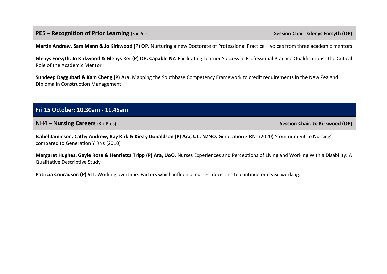**PE5** – **Recognition of Prior Learning** (3 x Pres) **Session Chair: Glenys Forsyth (OP)** 

**Martin Andrew, Sam Mann & Jo Kirkwood (P) OP.** Nurturing a new Doctorate of Professional Practice – voices from three academic mentors

**Glenys Forsyth, Jo Kirkwood & Glenys Ker (P) OP, Capable NZ.** Facilitating Learner Success in Professional Practice Qualifications: The Critical Role of the Academic Mentor

**Sundeep Daggubati & Kam Cheng (P) Ara.** Mapping the Southbase Competency Framework to credit requirements in the New Zealand Diploma in Construction Management

#### **Fri 15 October: 10.30am - 11.45am**

**NH4 – Nursing Careers** (3 x Pres) **Session Chair: Jo Kirkwood (OP)** 

**Isabel Jamieson, Cathy Andrew, Ray Kirk & Kirsty Donaldson (P) Ara, UC, NZNO.** Generation Z RNs (2020) 'Commitment to Nursing' compared to Generation Y RNs (2010)

**Margaret Hughes, Gayle Rose & Henrietta Tripp (P) Ara, UoO.** Nurses Experiences and Perceptions of Living and Working With a Disability: A Qualitative Descriptive Study

**Patricia Conradson (P) SIT.** Working overtime: Factors which influence nurses' decisions to continue or cease working.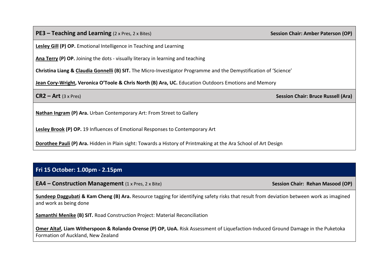| <b>PE3 – Teaching and Learning</b> $(2 \times Pres, 2 \times Bites)$                                              | <b>Session Chair: Amber Paterson (OP)</b> |  |
|-------------------------------------------------------------------------------------------------------------------|-------------------------------------------|--|
| <b>Lesley Gill (P) OP.</b> Emotional Intelligence in Teaching and Learning                                        |                                           |  |
| Ana Terry (P) OP. Joining the dots - visually literacy in learning and teaching                                   |                                           |  |
| Christina Liang & Claudia Gonnelli (B) SIT. The Micro-Investigator Programme and the Demystification of 'Science' |                                           |  |
| Jean Cory-Wright, Veronica O'Toole & Chris North (B) Ara, UC. Education Outdoors Emotions and Memory              |                                           |  |
|                                                                                                                   |                                           |  |
| $CR2 - Art (3 x Pres)$                                                                                            | <b>Session Chair: Bruce Russell (Ara)</b> |  |
| Nathan Ingram (P) Ara. Urban Contemporary Art: From Street to Gallery                                             |                                           |  |
| Lesley Brook (P) OP. 19 Influences of Emotional Responses to Contemporary Art                                     |                                           |  |

### **Fri 15 October: 1.00pm - 2.15pm**

**EA4 – Construction Management** (1 x Pres, 2 x Bite) **Session Chair: Rehan Masood (OP) Session Chair: Rehan Masood (OP)** 

**Sundeep Daggubati & Kam Cheng (B) Ara.** Resource tagging for identifying safety risks that result from deviation between work as imagined and work as being done

**Samanthi Menike (B) SIT.** Road Construction Project: Material Reconciliation

**Omer Altaf, Liam Witherspoon & Rolando Orense (P) OP, UoA.** Risk Assessment of Liquefaction-Induced Ground Damage in the Puketoka Formation of Auckland, New Zealand